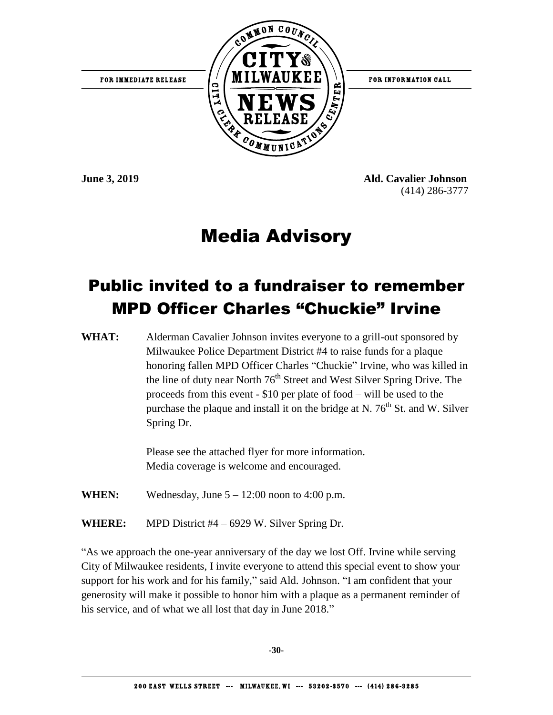

**June 3, 2019 Ald. Cavalier Johnson** (414) 286-3777

#### Media Advisory

#### Public invited to a fundraiser to remember MPD Officer Charles "Chuckie" Irvine

WHAT: Alderman Cavalier Johnson invites everyone to a grill-out sponsored by Milwaukee Police Department District #4 to raise funds for a plaque honoring fallen MPD Officer Charles "Chuckie" Irvine, who was killed in the line of duty near North 76<sup>th</sup> Street and West Silver Spring Drive. The proceeds from this event - \$10 per plate of food – will be used to the purchase the plaque and install it on the bridge at N.  $76<sup>th</sup>$  St. and W. Silver Spring Dr.

> Please see the attached flyer for more information. Media coverage is welcome and encouraged.

- **WHEN:** Wednesday, June  $5 12:00$  noon to 4:00 p.m.
- **WHERE:** MPD District #4 6929 W. Silver Spring Dr.

"As we approach the one-year anniversary of the day we lost Off. Irvine while serving City of Milwaukee residents, I invite everyone to attend this special event to show your support for his work and for his family," said Ald. Johnson. "I am confident that your generosity will make it possible to honor him with a plaque as a permanent reminder of his service, and of what we all lost that day in June 2018."

**-30-**